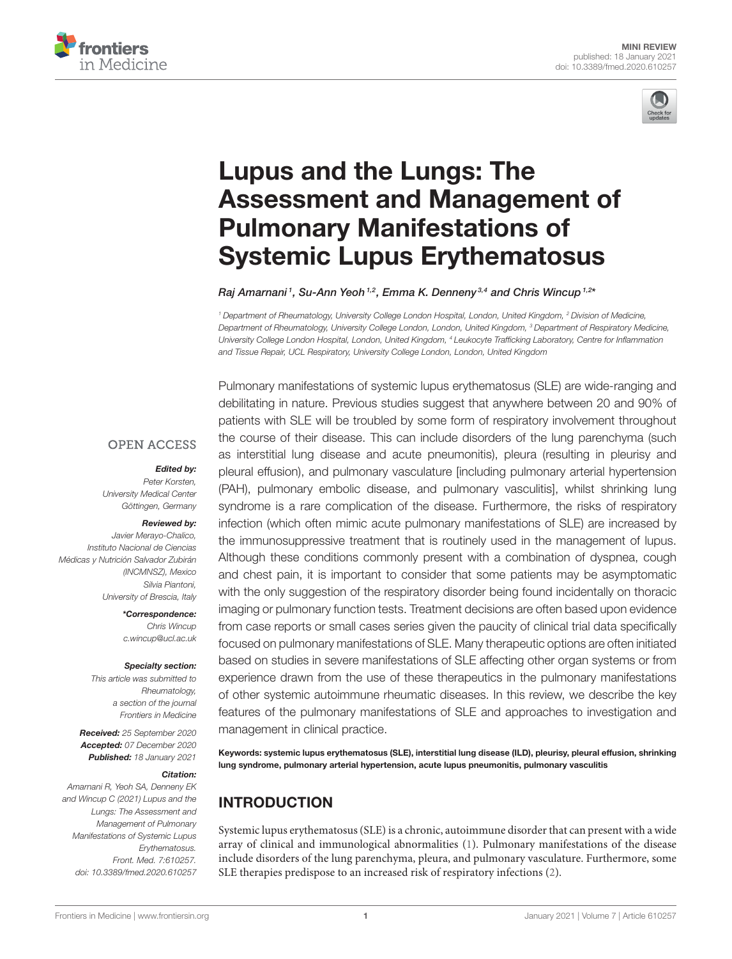



# Lupus and the Lungs: The [Assessment and Management of](https://www.frontiersin.org/articles/10.3389/fmed.2020.610257/full) Pulmonary Manifestations of Systemic Lupus Erythematosus

Raj Amarnani1, Su-Ann Yeoh<sup>1,2</sup>, Emma K. Denneny<sup>3,4</sup> and Chris Wincup<sup>1,2x</sup>

<sup>1</sup> Department of Rheumatology, University College London Hospital, London, United Kingdom, <sup>2</sup> Division of Medicine, Department of Rheumatology, University College London, London, United Kingdom, <sup>3</sup> Department of Respiratory Medicine, University College London Hospital, London, United Kingdom, <sup>4</sup> Leukocyte Trafficking Laboratory, Centre for Inflammation and Tissue Repair, UCL Respiratory, University College London, London, United Kingdom

#### **OPEN ACCESS**

#### Edited by:

Peter Korsten, University Medical Center Göttingen, Germany

#### Reviewed by:

Javier Merayo-Chalico, Instituto Nacional de Ciencias Médicas y Nutrición Salvador Zubirán (INCMNSZ), Mexico Silvia Piantoni, University of Brescia, Italy

> \*Correspondence: Chris Wincup [c.wincup@ucl.ac.uk](mailto:c.wincup@ucl.ac.uk)

#### Specialty section:

This article was submitted to Rheumatology, a section of the journal Frontiers in Medicine

Received: 25 September 2020 Accepted: 07 December 2020 Published: 18 January 2021

#### Citation:

Amarnani R, Yeoh SA, Denneny EK and Wincup C (2021) Lupus and the Lungs: The Assessment and Management of Pulmonary Manifestations of Systemic Lupus Erythematosus. Front. Med. 7:610257. doi: [10.3389/fmed.2020.610257](https://doi.org/10.3389/fmed.2020.610257)

Pulmonary manifestations of systemic lupus erythematosus (SLE) are wide-ranging and debilitating in nature. Previous studies suggest that anywhere between 20 and 90% of patients with SLE will be troubled by some form of respiratory involvement throughout the course of their disease. This can include disorders of the lung parenchyma (such as interstitial lung disease and acute pneumonitis), pleura (resulting in pleurisy and pleural effusion), and pulmonary vasculature [including pulmonary arterial hypertension (PAH), pulmonary embolic disease, and pulmonary vasculitis], whilst shrinking lung syndrome is a rare complication of the disease. Furthermore, the risks of respiratory infection (which often mimic acute pulmonary manifestations of SLE) are increased by the immunosuppressive treatment that is routinely used in the management of lupus. Although these conditions commonly present with a combination of dyspnea, cough and chest pain, it is important to consider that some patients may be asymptomatic with the only suggestion of the respiratory disorder being found incidentally on thoracic imaging or pulmonary function tests. Treatment decisions are often based upon evidence from case reports or small cases series given the paucity of clinical trial data specifically focused on pulmonary manifestations of SLE. Many therapeutic options are often initiated based on studies in severe manifestations of SLE affecting other organ systems or from experience drawn from the use of these therapeutics in the pulmonary manifestations of other systemic autoimmune rheumatic diseases. In this review, we describe the key features of the pulmonary manifestations of SLE and approaches to investigation and management in clinical practice.

Keywords: systemic lupus erythematosus (SLE), interstitial lung disease (ILD), pleurisy, pleural effusion, shrinking lung syndrome, pulmonary arterial hypertension, acute lupus pneumonitis, pulmonary vasculitis

# INTRODUCTION

Systemic lupus erythematosus (SLE) is a chronic, autoimmune disorder that can present with a wide array of clinical and immunological abnormalities [\(1\)](#page-5-0). Pulmonary manifestations of the disease include disorders of the lung parenchyma, pleura, and pulmonary vasculature. Furthermore, some SLE therapies predispose to an increased risk of respiratory infections [\(2\)](#page-5-1).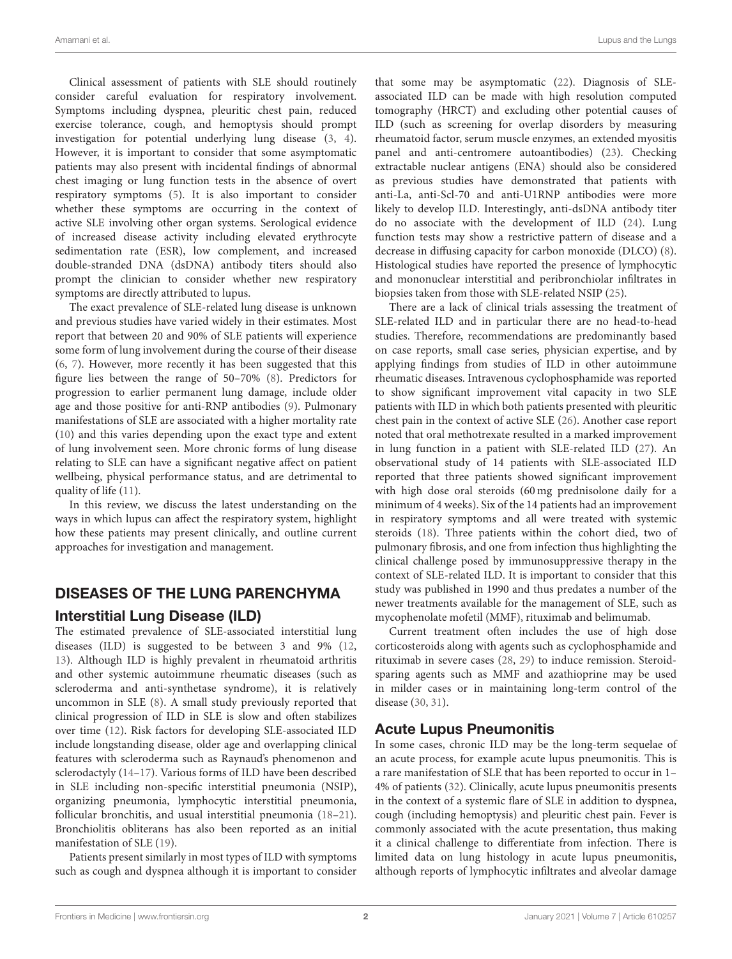Clinical assessment of patients with SLE should routinely consider careful evaluation for respiratory involvement. Symptoms including dyspnea, pleuritic chest pain, reduced exercise tolerance, cough, and hemoptysis should prompt investigation for potential underlying lung disease [\(3,](#page-5-2) [4\)](#page-5-3). However, it is important to consider that some asymptomatic patients may also present with incidental findings of abnormal chest imaging or lung function tests in the absence of overt respiratory symptoms [\(5\)](#page-5-4). It is also important to consider whether these symptoms are occurring in the context of active SLE involving other organ systems. Serological evidence of increased disease activity including elevated erythrocyte sedimentation rate (ESR), low complement, and increased double-stranded DNA (dsDNA) antibody titers should also prompt the clinician to consider whether new respiratory symptoms are directly attributed to lupus.

The exact prevalence of SLE-related lung disease is unknown and previous studies have varied widely in their estimates. Most report that between 20 and 90% of SLE patients will experience some form of lung involvement during the course of their disease [\(6,](#page-5-5) [7\)](#page-5-6). However, more recently it has been suggested that this figure lies between the range of 50–70% [\(8\)](#page-5-7). Predictors for progression to earlier permanent lung damage, include older age and those positive for anti-RNP antibodies [\(9\)](#page-5-8). Pulmonary manifestations of SLE are associated with a higher mortality rate [\(10\)](#page-5-9) and this varies depending upon the exact type and extent of lung involvement seen. More chronic forms of lung disease relating to SLE can have a significant negative affect on patient wellbeing, physical performance status, and are detrimental to quality of life [\(11\)](#page-5-10).

In this review, we discuss the latest understanding on the ways in which lupus can affect the respiratory system, highlight how these patients may present clinically, and outline current approaches for investigation and management.

#### DISEASES OF THE LUNG PARENCHYMA

#### Interstitial Lung Disease (ILD)

The estimated prevalence of SLE-associated interstitial lung diseases (ILD) is suggested to be between 3 and 9% [\(12,](#page-5-11) [13\)](#page-5-12). Although ILD is highly prevalent in rheumatoid arthritis and other systemic autoimmune rheumatic diseases (such as scleroderma and anti-synthetase syndrome), it is relatively uncommon in SLE [\(8\)](#page-5-7). A small study previously reported that clinical progression of ILD in SLE is slow and often stabilizes over time [\(12\)](#page-5-11). Risk factors for developing SLE-associated ILD include longstanding disease, older age and overlapping clinical features with scleroderma such as Raynaud's phenomenon and sclerodactyly [\(14–](#page-5-13)[17\)](#page-6-0). Various forms of ILD have been described in SLE including non-specific interstitial pneumonia (NSIP), organizing pneumonia, lymphocytic interstitial pneumonia, follicular bronchitis, and usual interstitial pneumonia [\(18–](#page-6-1)[21\)](#page-6-2). Bronchiolitis obliterans has also been reported as an initial manifestation of SLE [\(19\)](#page-6-3).

Patients present similarly in most types of ILD with symptoms such as cough and dyspnea although it is important to consider that some may be asymptomatic [\(22\)](#page-6-4). Diagnosis of SLEassociated ILD can be made with high resolution computed tomography (HRCT) and excluding other potential causes of ILD (such as screening for overlap disorders by measuring rheumatoid factor, serum muscle enzymes, an extended myositis panel and anti-centromere autoantibodies) [\(23\)](#page-6-5). Checking extractable nuclear antigens (ENA) should also be considered as previous studies have demonstrated that patients with anti-La, anti-Scl-70 and anti-U1RNP antibodies were more likely to develop ILD. Interestingly, anti-dsDNA antibody titer do no associate with the development of ILD [\(24\)](#page-6-6). Lung function tests may show a restrictive pattern of disease and a decrease in diffusing capacity for carbon monoxide (DLCO) [\(8\)](#page-5-7). Histological studies have reported the presence of lymphocytic and mononuclear interstitial and peribronchiolar infiltrates in biopsies taken from those with SLE-related NSIP [\(25\)](#page-6-7).

There are a lack of clinical trials assessing the treatment of SLE-related ILD and in particular there are no head-to-head studies. Therefore, recommendations are predominantly based on case reports, small case series, physician expertise, and by applying findings from studies of ILD in other autoimmune rheumatic diseases. Intravenous cyclophosphamide was reported to show significant improvement vital capacity in two SLE patients with ILD in which both patients presented with pleuritic chest pain in the context of active SLE [\(26\)](#page-6-8). Another case report noted that oral methotrexate resulted in a marked improvement in lung function in a patient with SLE-related ILD [\(27\)](#page-6-9). An observational study of 14 patients with SLE-associated ILD reported that three patients showed significant improvement with high dose oral steroids (60 mg prednisolone daily for a minimum of 4 weeks). Six of the 14 patients had an improvement in respiratory symptoms and all were treated with systemic steroids [\(18\)](#page-6-1). Three patients within the cohort died, two of pulmonary fibrosis, and one from infection thus highlighting the clinical challenge posed by immunosuppressive therapy in the context of SLE-related ILD. It is important to consider that this study was published in 1990 and thus predates a number of the newer treatments available for the management of SLE, such as mycophenolate mofetil (MMF), rituximab and belimumab.

Current treatment often includes the use of high dose corticosteroids along with agents such as cyclophosphamide and rituximab in severe cases [\(28,](#page-6-10) [29\)](#page-6-11) to induce remission. Steroidsparing agents such as MMF and azathioprine may be used in milder cases or in maintaining long-term control of the disease [\(30,](#page-6-12) [31\)](#page-6-13).

#### Acute Lupus Pneumonitis

In some cases, chronic ILD may be the long-term sequelae of an acute process, for example acute lupus pneumonitis. This is a rare manifestation of SLE that has been reported to occur in 1– 4% of patients [\(32\)](#page-6-14). Clinically, acute lupus pneumonitis presents in the context of a systemic flare of SLE in addition to dyspnea, cough (including hemoptysis) and pleuritic chest pain. Fever is commonly associated with the acute presentation, thus making it a clinical challenge to differentiate from infection. There is limited data on lung histology in acute lupus pneumonitis, although reports of lymphocytic infiltrates and alveolar damage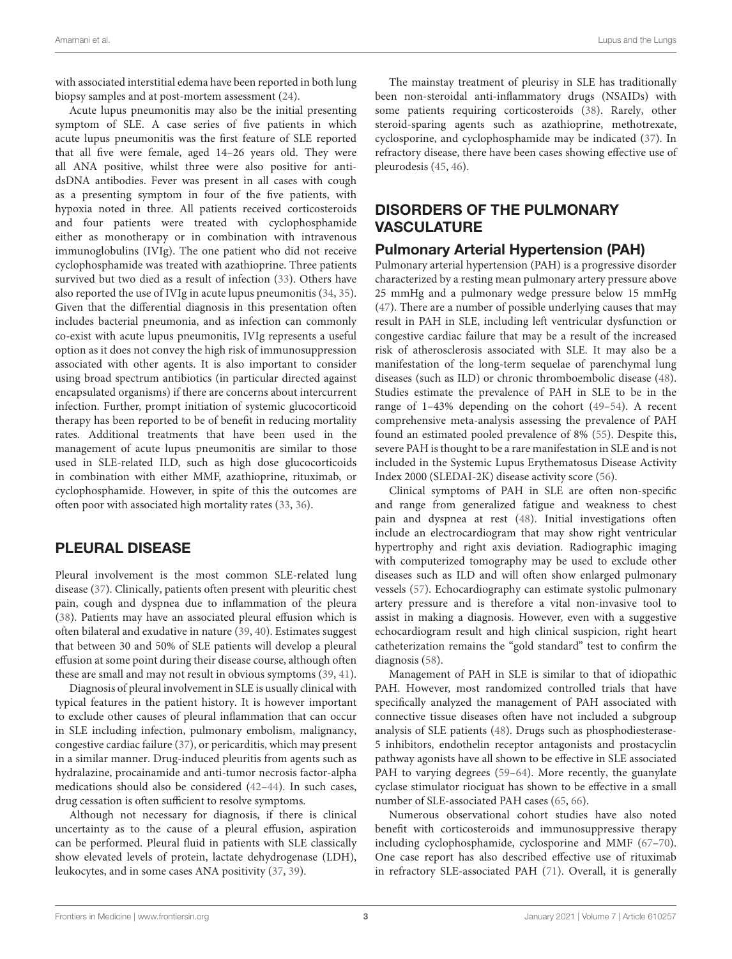with associated interstitial edema have been reported in both lung biopsy samples and at post-mortem assessment [\(24\)](#page-6-6).

Acute lupus pneumonitis may also be the initial presenting symptom of SLE. A case series of five patients in which acute lupus pneumonitis was the first feature of SLE reported that all five were female, aged 14–26 years old. They were all ANA positive, whilst three were also positive for antidsDNA antibodies. Fever was present in all cases with cough as a presenting symptom in four of the five patients, with hypoxia noted in three. All patients received corticosteroids and four patients were treated with cyclophosphamide either as monotherapy or in combination with intravenous immunoglobulins (IVIg). The one patient who did not receive cyclophosphamide was treated with azathioprine. Three patients survived but two died as a result of infection [\(33\)](#page-6-15). Others have also reported the use of IVIg in acute lupus pneumonitis [\(34,](#page-6-16) [35\)](#page-6-17). Given that the differential diagnosis in this presentation often includes bacterial pneumonia, and as infection can commonly co-exist with acute lupus pneumonitis, IVIg represents a useful option as it does not convey the high risk of immunosuppression associated with other agents. It is also important to consider using broad spectrum antibiotics (in particular directed against encapsulated organisms) if there are concerns about intercurrent infection. Further, prompt initiation of systemic glucocorticoid therapy has been reported to be of benefit in reducing mortality rates. Additional treatments that have been used in the management of acute lupus pneumonitis are similar to those used in SLE-related ILD, such as high dose glucocorticoids in combination with either MMF, azathioprine, rituximab, or cyclophosphamide. However, in spite of this the outcomes are often poor with associated high mortality rates [\(33,](#page-6-15) [36\)](#page-6-18).

#### PLEURAL DISEASE

Pleural involvement is the most common SLE-related lung disease [\(37\)](#page-6-19). Clinically, patients often present with pleuritic chest pain, cough and dyspnea due to inflammation of the pleura [\(38\)](#page-6-20). Patients may have an associated pleural effusion which is often bilateral and exudative in nature [\(39,](#page-6-21) [40\)](#page-6-22). Estimates suggest that between 30 and 50% of SLE patients will develop a pleural effusion at some point during their disease course, although often these are small and may not result in obvious symptoms [\(39,](#page-6-21) [41\)](#page-6-23).

Diagnosis of pleural involvement in SLE is usually clinical with typical features in the patient history. It is however important to exclude other causes of pleural inflammation that can occur in SLE including infection, pulmonary embolism, malignancy, congestive cardiac failure [\(37\)](#page-6-19), or pericarditis, which may present in a similar manner. Drug-induced pleuritis from agents such as hydralazine, procainamide and anti-tumor necrosis factor-alpha medications should also be considered [\(42–](#page-6-24)[44\)](#page-6-25). In such cases, drug cessation is often sufficient to resolve symptoms.

Although not necessary for diagnosis, if there is clinical uncertainty as to the cause of a pleural effusion, aspiration can be performed. Pleural fluid in patients with SLE classically show elevated levels of protein, lactate dehydrogenase (LDH), leukocytes, and in some cases ANA positivity [\(37,](#page-6-19) [39\)](#page-6-21).

The mainstay treatment of pleurisy in SLE has traditionally been non-steroidal anti-inflammatory drugs (NSAIDs) with some patients requiring corticosteroids [\(38\)](#page-6-20). Rarely, other steroid-sparing agents such as azathioprine, methotrexate, cyclosporine, and cyclophosphamide may be indicated [\(37\)](#page-6-19). In refractory disease, there have been cases showing effective use of pleurodesis [\(45,](#page-6-26) [46\)](#page-6-27).

# DISORDERS OF THE PULMONARY VASCULATURE

# Pulmonary Arterial Hypertension (PAH)

Pulmonary arterial hypertension (PAH) is a progressive disorder characterized by a resting mean pulmonary artery pressure above 25 mmHg and a pulmonary wedge pressure below 15 mmHg [\(47\)](#page-6-28). There are a number of possible underlying causes that may result in PAH in SLE, including left ventricular dysfunction or congestive cardiac failure that may be a result of the increased risk of atherosclerosis associated with SLE. It may also be a manifestation of the long-term sequelae of parenchymal lung diseases (such as ILD) or chronic thromboembolic disease [\(48\)](#page-6-29). Studies estimate the prevalence of PAH in SLE to be in the range of 1–43% depending on the cohort [\(49–](#page-6-30)[54\)](#page-6-31). A recent comprehensive meta-analysis assessing the prevalence of PAH found an estimated pooled prevalence of 8% [\(55\)](#page-6-32). Despite this, severe PAH is thought to be a rare manifestation in SLE and is not included in the Systemic Lupus Erythematosus Disease Activity Index 2000 (SLEDAI-2K) disease activity score [\(56\)](#page-6-33).

Clinical symptoms of PAH in SLE are often non-specific and range from generalized fatigue and weakness to chest pain and dyspnea at rest [\(48\)](#page-6-29). Initial investigations often include an electrocardiogram that may show right ventricular hypertrophy and right axis deviation. Radiographic imaging with computerized tomography may be used to exclude other diseases such as ILD and will often show enlarged pulmonary vessels [\(57\)](#page-6-34). Echocardiography can estimate systolic pulmonary artery pressure and is therefore a vital non-invasive tool to assist in making a diagnosis. However, even with a suggestive echocardiogram result and high clinical suspicion, right heart catheterization remains the "gold standard" test to confirm the diagnosis [\(58\)](#page-6-35).

Management of PAH in SLE is similar to that of idiopathic PAH. However, most randomized controlled trials that have specifically analyzed the management of PAH associated with connective tissue diseases often have not included a subgroup analysis of SLE patients [\(48\)](#page-6-29). Drugs such as phosphodiesterase-5 inhibitors, endothelin receptor antagonists and prostacyclin pathway agonists have all shown to be effective in SLE associated PAH to varying degrees (59-[64\)](#page-7-0). More recently, the guanylate cyclase stimulator riociguat has shown to be effective in a small number of SLE-associated PAH cases [\(65,](#page-7-1) [66\)](#page-7-2).

Numerous observational cohort studies have also noted benefit with corticosteroids and immunosuppressive therapy including cyclophosphamide, cyclosporine and MMF [\(67–](#page-7-3)[70\)](#page-7-4). One case report has also described effective use of rituximab in refractory SLE-associated PAH [\(71\)](#page-7-5). Overall, it is generally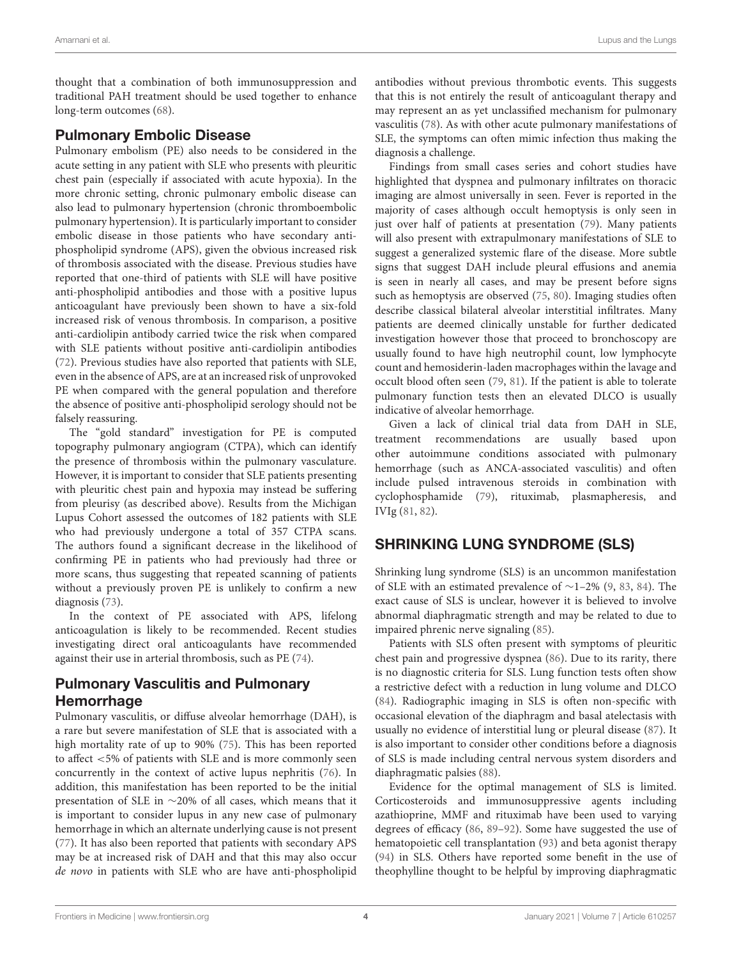thought that a combination of both immunosuppression and traditional PAH treatment should be used together to enhance long-term outcomes [\(68\)](#page-7-6).

#### Pulmonary Embolic Disease

Pulmonary embolism (PE) also needs to be considered in the acute setting in any patient with SLE who presents with pleuritic chest pain (especially if associated with acute hypoxia). In the more chronic setting, chronic pulmonary embolic disease can also lead to pulmonary hypertension (chronic thromboembolic pulmonary hypertension). It is particularly important to consider embolic disease in those patients who have secondary antiphospholipid syndrome (APS), given the obvious increased risk of thrombosis associated with the disease. Previous studies have reported that one-third of patients with SLE will have positive anti-phospholipid antibodies and those with a positive lupus anticoagulant have previously been shown to have a six-fold increased risk of venous thrombosis. In comparison, a positive anti-cardiolipin antibody carried twice the risk when compared with SLE patients without positive anti-cardiolipin antibodies [\(72\)](#page-7-7). Previous studies have also reported that patients with SLE, even in the absence of APS, are at an increased risk of unprovoked PE when compared with the general population and therefore the absence of positive anti-phospholipid serology should not be falsely reassuring.

The "gold standard" investigation for PE is computed topography pulmonary angiogram (CTPA), which can identify the presence of thrombosis within the pulmonary vasculature. However, it is important to consider that SLE patients presenting with pleuritic chest pain and hypoxia may instead be suffering from pleurisy (as described above). Results from the Michigan Lupus Cohort assessed the outcomes of 182 patients with SLE who had previously undergone a total of 357 CTPA scans. The authors found a significant decrease in the likelihood of confirming PE in patients who had previously had three or more scans, thus suggesting that repeated scanning of patients without a previously proven PE is unlikely to confirm a new diagnosis [\(73\)](#page-7-8).

In the context of PE associated with APS, lifelong anticoagulation is likely to be recommended. Recent studies investigating direct oral anticoagulants have recommended against their use in arterial thrombosis, such as PE [\(74\)](#page-7-9).

# Pulmonary Vasculitis and Pulmonary Hemorrhage

Pulmonary vasculitis, or diffuse alveolar hemorrhage (DAH), is a rare but severe manifestation of SLE that is associated with a high mortality rate of up to 90% [\(75\)](#page-7-10). This has been reported to affect <5% of patients with SLE and is more commonly seen concurrently in the context of active lupus nephritis [\(76\)](#page-7-11). In addition, this manifestation has been reported to be the initial presentation of SLE in ∼20% of all cases, which means that it is important to consider lupus in any new case of pulmonary hemorrhage in which an alternate underlying cause is not present [\(77\)](#page-7-12). It has also been reported that patients with secondary APS may be at increased risk of DAH and that this may also occur de novo in patients with SLE who are have anti-phospholipid antibodies without previous thrombotic events. This suggests that this is not entirely the result of anticoagulant therapy and may represent an as yet unclassified mechanism for pulmonary vasculitis [\(78\)](#page-7-13). As with other acute pulmonary manifestations of SLE, the symptoms can often mimic infection thus making the diagnosis a challenge.

Findings from small cases series and cohort studies have highlighted that dyspnea and pulmonary infiltrates on thoracic imaging are almost universally in seen. Fever is reported in the majority of cases although occult hemoptysis is only seen in just over half of patients at presentation [\(79\)](#page-7-14). Many patients will also present with extrapulmonary manifestations of SLE to suggest a generalized systemic flare of the disease. More subtle signs that suggest DAH include pleural effusions and anemia is seen in nearly all cases, and may be present before signs such as hemoptysis are observed [\(75,](#page-7-10) [80\)](#page-7-15). Imaging studies often describe classical bilateral alveolar interstitial infiltrates. Many patients are deemed clinically unstable for further dedicated investigation however those that proceed to bronchoscopy are usually found to have high neutrophil count, low lymphocyte count and hemosiderin-laden macrophages within the lavage and occult blood often seen [\(79,](#page-7-14) [81\)](#page-7-16). If the patient is able to tolerate pulmonary function tests then an elevated DLCO is usually indicative of alveolar hemorrhage.

Given a lack of clinical trial data from DAH in SLE, treatment recommendations are usually based upon other autoimmune conditions associated with pulmonary hemorrhage (such as ANCA-associated vasculitis) and often include pulsed intravenous steroids in combination with cyclophosphamide [\(79\)](#page-7-14), rituximab, plasmapheresis, and IVIg [\(81,](#page-7-16) [82\)](#page-7-17).

# SHRINKING LUNG SYNDROME (SLS)

Shrinking lung syndrome (SLS) is an uncommon manifestation of SLE with an estimated prevalence of ∼1–2% [\(9,](#page-5-8) [83,](#page-7-18) [84\)](#page-7-19). The exact cause of SLS is unclear, however it is believed to involve abnormal diaphragmatic strength and may be related to due to impaired phrenic nerve signaling [\(85\)](#page-7-20).

Patients with SLS often present with symptoms of pleuritic chest pain and progressive dyspnea [\(86\)](#page-7-21). Due to its rarity, there is no diagnostic criteria for SLS. Lung function tests often show a restrictive defect with a reduction in lung volume and DLCO [\(84\)](#page-7-19). Radiographic imaging in SLS is often non-specific with occasional elevation of the diaphragm and basal atelectasis with usually no evidence of interstitial lung or pleural disease [\(87\)](#page-7-22). It is also important to consider other conditions before a diagnosis of SLS is made including central nervous system disorders and diaphragmatic palsies [\(88\)](#page-7-23).

Evidence for the optimal management of SLS is limited. Corticosteroids and immunosuppressive agents including azathioprine, MMF and rituximab have been used to varying degrees of efficacy [\(86,](#page-7-21) [89](#page-7-24)[–92\)](#page-7-25). Some have suggested the use of hematopoietic cell transplantation [\(93\)](#page-7-26) and beta agonist therapy [\(94\)](#page-7-27) in SLS. Others have reported some benefit in the use of theophylline thought to be helpful by improving diaphragmatic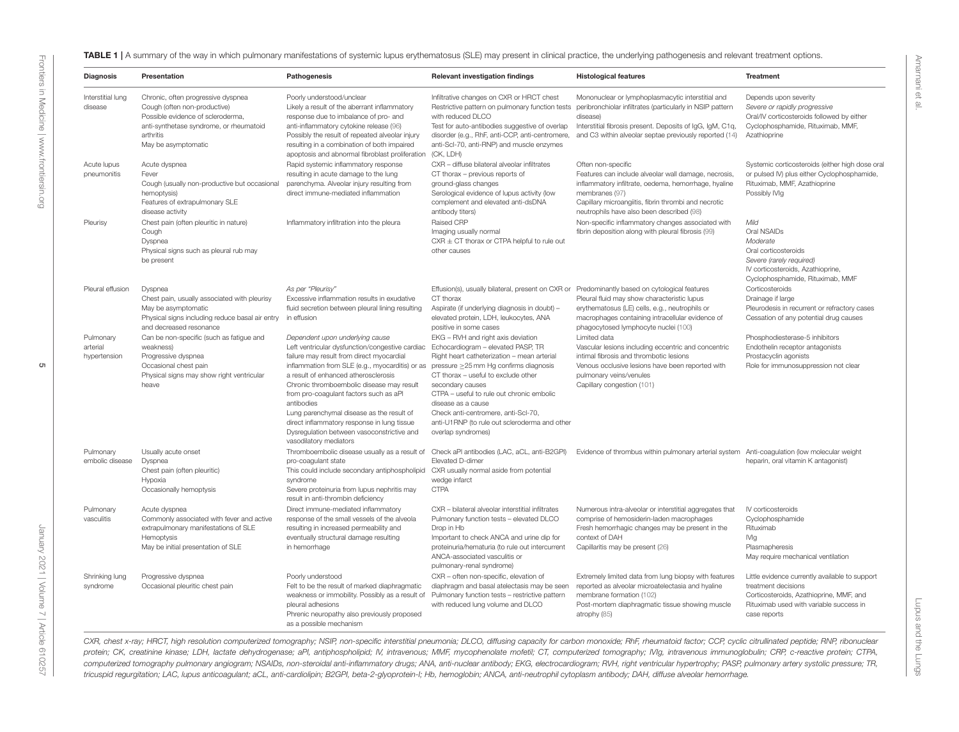<span id="page-4-0"></span>

| <b>Diagnosis</b>                      | Presentation                                                                                                                                                 | Pathogenesis                                                                                                                                                                                                                                                                                                                                                                                                                                                                                                                                    | Relevant investigation findings                                                                                                                                                                                                                                                                                                                                     | <b>Histological features</b>                                                                                                                                                                                                                              | <b>Treatment</b>                                                                                                                                                            |
|---------------------------------------|--------------------------------------------------------------------------------------------------------------------------------------------------------------|-------------------------------------------------------------------------------------------------------------------------------------------------------------------------------------------------------------------------------------------------------------------------------------------------------------------------------------------------------------------------------------------------------------------------------------------------------------------------------------------------------------------------------------------------|---------------------------------------------------------------------------------------------------------------------------------------------------------------------------------------------------------------------------------------------------------------------------------------------------------------------------------------------------------------------|-----------------------------------------------------------------------------------------------------------------------------------------------------------------------------------------------------------------------------------------------------------|-----------------------------------------------------------------------------------------------------------------------------------------------------------------------------|
| Interstitial lung<br>disease          | Chronic, often progressive dyspnea<br>Cough (often non-productive)<br>Possible evidence of scleroderma,                                                      | Poorly understood/unclear<br>Likely a result of the aberrant inflammatory<br>response due to imbalance of pro- and                                                                                                                                                                                                                                                                                                                                                                                                                              | Infiltrative changes on CXR or HRCT chest<br>with reduced DLCO                                                                                                                                                                                                                                                                                                      | Mononuclear or lymphoplasmacytic interstitial and<br>Restrictive pattern on pulmonary function tests peribronchiolar infiltrates (particularly in NSIP pattern<br>disease)                                                                                | Depends upon severity<br>Severe or rapidly progressive<br>Oral/IV corticosteroids followed by either                                                                        |
|                                       | anti-synthetase syndrome, or rheumatoid<br>arthritis<br>May be asymptomatic                                                                                  | anti-inflammatory cytokine release (96)<br>Possibly the result of repeated alveolar injury<br>resulting in a combination of both impaired<br>apoptosis and abnormal fibroblast proliferation                                                                                                                                                                                                                                                                                                                                                    | Test for auto-antibodies suggestive of overlap<br>disorder (e.g., RhF, anti-CCP, anti-centromere,<br>anti-Scl-70, anti-RNP) and muscle enzymes<br>(CK, LDH)                                                                                                                                                                                                         | Interstitial fibrosis present. Deposits of IgG, IgM, C1q,<br>and C3 within alveolar septae previously reported (14)                                                                                                                                       | Cyclophosphamide, Rituximab, MMF,<br>Azathioprine                                                                                                                           |
| Acute lupus<br>pneumonitis            | Acute dyspnea<br>Fever<br>Cough (usually non-productive but occasional<br>hemoptysis)<br>Features of extrapulmonary SLE<br>disease activity                  | Rapid systemic inflammatory response<br>resulting in acute damage to the lung<br>parenchyma. Alveolar injury resulting from<br>direct immune-mediated inflammation                                                                                                                                                                                                                                                                                                                                                                              | CXR - diffuse bilateral alveolar infiltrates<br>CT thorax - previous reports of<br>ground-glass changes<br>Serological evidence of lupus activity (low<br>complement and elevated anti-dsDNA<br>antibody titers)                                                                                                                                                    | Often non-specific<br>Features can include alveolar wall damage, necrosis,<br>inflammatory infiltrate, oedema, hemorrhage, hyaline<br>membranes (97)<br>Capillary microangiitis, fibrin thrombi and necrotic<br>neutrophils have also been described (98) | Systemic corticosteroids (either high dose oral<br>or pulsed IV) plus either Cyclophosphamide,<br>Rituximab, MMF, Azathioprine<br>Possibly IVIg                             |
| Pleurisy                              | Chest pain (often pleuritic in nature)<br>Cough<br>Dyspnea<br>Physical signs such as pleural rub may<br>be present                                           | Inflammatory infiltration into the pleura                                                                                                                                                                                                                                                                                                                                                                                                                                                                                                       | Raised CRP<br>Imaging usually normal<br>$CXR \pm CT$ thorax or CTPA helpful to rule out<br>other causes                                                                                                                                                                                                                                                             | Non-specific inflammatory changes associated with<br>fibrin deposition along with pleural fibrosis (99)                                                                                                                                                   | Mild<br>Oral NSAIDs<br>Moderate<br>Oral corticosteroids<br>Severe (rarely required)<br>IV corticosteroids, Azathioprine,<br>Cyclophosphamide, Rituximab, MMF                |
| Pleural effusion                      | Dyspnea<br>Chest pain, usually associated with pleurisy<br>May be asymptomatic<br>Physical signs including reduce basal air entry<br>and decreased resonance | As per "Pleurisy"<br>Excessive inflammation results in exudative<br>fluid secretion between pleural lining resulting<br>in effusion                                                                                                                                                                                                                                                                                                                                                                                                             | Effusion(s), usually bilateral, present on CXR or<br>CT thorax<br>Aspirate (if underlying diagnosis in doubt) -<br>elevated protein, LDH, leukocytes, ANA<br>positive in some cases                                                                                                                                                                                 | Predominantly based on cytological features<br>Pleural fluid may show characteristic lupus<br>erythematosus (LE) cells, e.g., neutrophils or<br>macrophages containing intracellular evidence of<br>phagocytosed lymphocyte nuclei (100)                  | Corticosteroids<br>Drainage if large<br>Pleurodesis in recurrent or refractory cases<br>Cessation of any potential drug causes                                              |
| Pulmonary<br>arterial<br>hypertension | Can be non-specific (such as fatigue and<br>weakness)<br>Progressive dyspnea<br>Occasional chest pain<br>Physical signs may show right ventricular<br>heave  | Dependent upon underlying cause<br>Left ventricular dysfunction/congestive cardiac<br>failure may result from direct myocardial<br>inflammation from SLE (e.g., myocarditis) or as pressure $\geq$ 25 mm Hg confirms diagnosis<br>a result of enhanced atherosclerosis<br>Chronic thromboembolic disease may result<br>from pro-coagulant factors such as aPI<br>antibodies<br>Lung parenchymal disease as the result of<br>direct inflammatory response in lung tissue<br>Dysregulation between vasoconstrictive and<br>vasodilatory mediators | EKG - RVH and right axis deviation<br>Echocardiogram - elevated PASP. TR<br>Right heart catheterization - mean arterial<br>CT thorax - useful to exclude other<br>secondary causes<br>CTPA - useful to rule out chronic embolic<br>disease as a cause<br>Check anti-centromere, anti-Scl-70,<br>anti-U1RNP (to rule out scleroderma and other<br>overlap syndromes) | Limited data<br>Vascular lesions including eccentric and concentric<br>intimal fibrosis and thrombotic lesions<br>Venous occlusive lesions have been reported with<br>pulmonary veins/venules<br>Capillary congestion (101)                               | Phosphodiesterase-5 inhibitors<br>Endothelin receptor antagonists<br>Prostacyclin agonists<br>Role for immunosuppression not clear                                          |
| Pulmonary<br>embolic disease          | Usually acute onset<br>Dyspnea<br>Chest pain (often pleuritic)<br>Hypoxia<br>Occasionally hemoptysis                                                         | Thromboembolic disease usually as a result of Check aPI antibodies (LAC, aCL, anti-B2GPI)<br>pro-coagulant state<br>This could include secondary antiphospholipid<br>syndrome<br>Severe proteinuria from lupus nephritis may<br>result in anti-thrombin deficiency                                                                                                                                                                                                                                                                              | Elevated D-dimer<br>CXR usually normal aside from potential<br>wedge infarct<br><b>CTPA</b>                                                                                                                                                                                                                                                                         | Evidence of thrombus within pulmonary arterial system Anti-coagulation (low molecular weight                                                                                                                                                              | heparin, oral vitamin K antagonist)                                                                                                                                         |
| Pulmonary<br>vasculitis               | Acute dyspnea<br>Commonly associated with fever and active<br>extrapulmonary manifestations of SLE<br>Hemoptysis<br>May be initial presentation of SLE       | Direct immune-mediated inflammatory<br>response of the small vessels of the alveola<br>resulting in increased permeability and<br>eventually structural damage resulting<br>in hemorrhage                                                                                                                                                                                                                                                                                                                                                       | CXR - bilateral alveolar interstitial infiltrates<br>Pulmonary function tests - elevated DLCO<br>Drop in Hb<br>Important to check ANCA and urine dip for<br>proteinuria/hematuria (to rule out intercurrent<br>ANCA-associated vasculitis or<br>pulmonary-renal syndrome)                                                                                           | Numerous intra-alveolar or interstitial aggregates that<br>comprise of hemosiderin-laden macrophages<br>Fresh hemorrhagic changes may be present in the<br>context of DAH<br>Capillaritis may be present (26)                                             | IV corticosteroids<br>Cyclophosphamide<br>Rituximab<br>IVIg<br>Plasmapheresis<br>May require mechanical ventilation                                                         |
| Shrinking lung<br>syndrome            | Progressive dyspnea<br>Occasional pleuritic chest pain                                                                                                       | Poorly understood<br>Felt to be the result of marked diaphragmatic<br>weakness or immobility. Possibly as a result of<br>pleural adhesions<br>Phrenic neuropathy also previously proposed<br>as a possible mechanism                                                                                                                                                                                                                                                                                                                            | CXR - often non-specific, elevation of<br>diaphragm and basal atelectasis may be seen<br>Pulmonary function tests - restrictive pattern<br>with reduced lung volume and DLCO                                                                                                                                                                                        | Extremely limited data from lung biopsy with features<br>reported as alveolar microatelectasia and hyaline<br>membrane formation (102)<br>Post-mortem diaphragmatic tissue showing muscle<br>atrophy (85)                                                 | Little evidence currently available to support<br>treatment decisions<br>Corticosteroids, Azathioprine, MMF, and<br>Rituximab used with variable success in<br>case reports |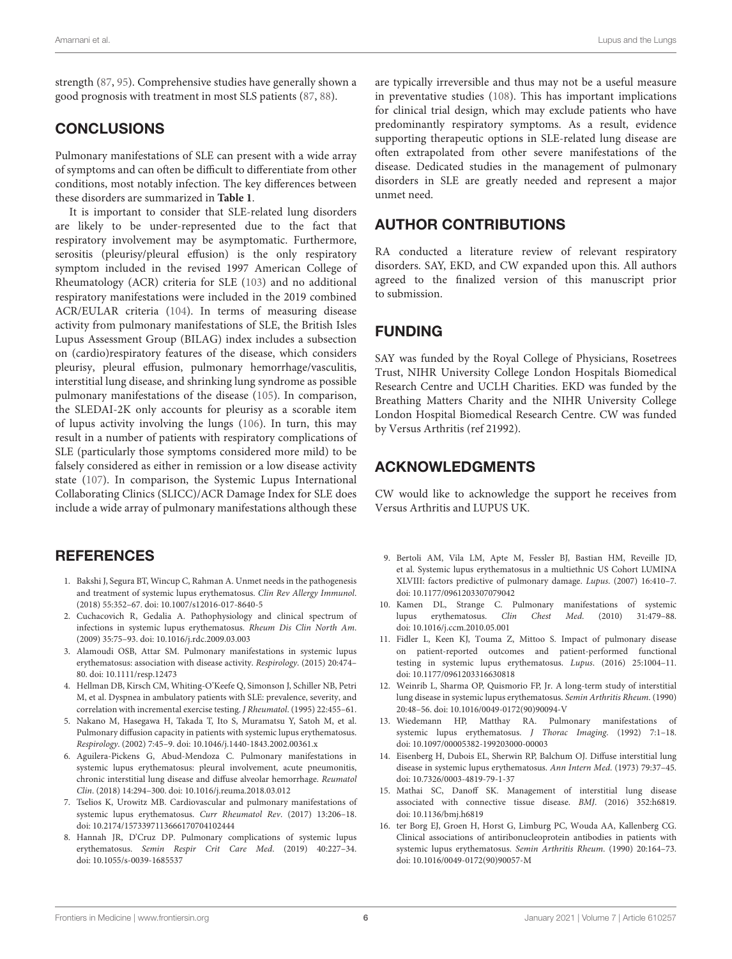strength [\(87,](#page-7-22) [95\)](#page-7-31). Comprehensive studies have generally shown a good prognosis with treatment in most SLS patients [\(87,](#page-7-22) [88\)](#page-7-23).

#### **CONCLUSIONS**

Pulmonary manifestations of SLE can present with a wide array of symptoms and can often be difficult to differentiate from other conditions, most notably infection. The key differences between these disorders are summarized in **[Table 1](#page-4-0)**.

It is important to consider that SLE-related lung disorders are likely to be under-represented due to the fact that respiratory involvement may be asymptomatic. Furthermore, serositis (pleurisy/pleural effusion) is the only respiratory symptom included in the revised 1997 American College of Rheumatology (ACR) criteria for SLE [\(103\)](#page-8-5) and no additional respiratory manifestations were included in the 2019 combined ACR/EULAR criteria [\(104\)](#page-8-6). In terms of measuring disease activity from pulmonary manifestations of SLE, the British Isles Lupus Assessment Group (BILAG) index includes a subsection on (cardio)respiratory features of the disease, which considers pleurisy, pleural effusion, pulmonary hemorrhage/vasculitis, interstitial lung disease, and shrinking lung syndrome as possible pulmonary manifestations of the disease [\(105\)](#page-8-7). In comparison, the SLEDAI-2K only accounts for pleurisy as a scorable item of lupus activity involving the lungs [\(106\)](#page-8-8). In turn, this may result in a number of patients with respiratory complications of SLE (particularly those symptoms considered more mild) to be falsely considered as either in remission or a low disease activity state [\(107\)](#page-8-9). In comparison, the Systemic Lupus International Collaborating Clinics (SLICC)/ACR Damage Index for SLE does include a wide array of pulmonary manifestations although these

#### **REFERENCES**

- <span id="page-5-0"></span>1. Bakshi J, Segura BT, Wincup C, Rahman A. Unmet needs in the pathogenesis and treatment of systemic lupus erythematosus. Clin Rev Allergy Immunol. (2018) 55:352–67. doi: [10.1007/s12016-017-8640-5](https://doi.org/10.1007/s12016-017-8640-5)
- <span id="page-5-1"></span>2. Cuchacovich R, Gedalia A. Pathophysiology and clinical spectrum of infections in systemic lupus erythematosus. Rheum Dis Clin North Am. (2009) 35:75–93. doi: [10.1016/j.rdc.2009.03.003](https://doi.org/10.1016/j.rdc.2009.03.003)
- <span id="page-5-2"></span>3. Alamoudi OSB, Attar SM. Pulmonary manifestations in systemic lupus erythematosus: association with disease activity. Respirology. (2015) 20:474– 80. doi: [10.1111/resp.12473](https://doi.org/10.1111/resp.12473)
- <span id="page-5-3"></span>4. Hellman DB, Kirsch CM, Whiting-O'Keefe Q, Simonson J, Schiller NB, Petri M, et al. Dyspnea in ambulatory patients with SLE: prevalence, severity, and correlation with incremental exercise testing. J Rheumatol. (1995) 22:455–61.
- <span id="page-5-4"></span>5. Nakano M, Hasegawa H, Takada T, Ito S, Muramatsu Y, Satoh M, et al. Pulmonary diffusion capacity in patients with systemic lupus erythematosus. Respirology. (2002) 7:45–9. doi: [10.1046/j.1440-1843.2002.00361.x](https://doi.org/10.1046/j.1440-1843.2002.00361.x)
- <span id="page-5-5"></span>6. Aguilera-Pickens G, Abud-Mendoza C. Pulmonary manifestations in systemic lupus erythematosus: pleural involvement, acute pneumonitis, chronic interstitial lung disease and diffuse alveolar hemorrhage. Reumatol Clin. (2018) 14:294–300. doi: [10.1016/j.reuma.2018.03.012](https://doi.org/10.1016/j.reuma.2018.03.012)
- <span id="page-5-6"></span>7. Tselios K, Urowitz MB. Cardiovascular and pulmonary manifestations of systemic lupus erythematosus. Curr Rheumatol Rev. (2017) 13:206–18. doi: [10.2174/1573397113666170704102444](https://doi.org/10.2174/1573397113666170704102444)
- <span id="page-5-7"></span>8. Hannah JR, D'Cruz DP. Pulmonary complications of systemic lupus erythematosus. Semin Respir Crit Care Med. (2019) 40:227–34. doi: [10.1055/s-0039-1685537](https://doi.org/10.1055/s-0039-1685537)

are typically irreversible and thus may not be a useful measure in preventative studies [\(108\)](#page-8-10). This has important implications for clinical trial design, which may exclude patients who have predominantly respiratory symptoms. As a result, evidence supporting therapeutic options in SLE-related lung disease are often extrapolated from other severe manifestations of the disease. Dedicated studies in the management of pulmonary disorders in SLE are greatly needed and represent a major unmet need.

### AUTHOR CONTRIBUTIONS

RA conducted a literature review of relevant respiratory disorders. SAY, EKD, and CW expanded upon this. All authors agreed to the finalized version of this manuscript prior to submission.

#### FUNDING

<span id="page-5-14"></span>SAY was funded by the Royal College of Physicians, Rosetrees Trust, NIHR University College London Hospitals Biomedical Research Centre and UCLH Charities. EKD was funded by the Breathing Matters Charity and the NIHR University College London Hospital Biomedical Research Centre. CW was funded by Versus Arthritis (ref 21992).

#### ACKNOWLEDGMENTS

CW would like to acknowledge the support he receives from Versus Arthritis and LUPUS UK.

- <span id="page-5-8"></span>9. Bertoli AM, Vila LM, Apte M, Fessler BJ, Bastian HM, Reveille JD, et al. Systemic lupus erythematosus in a multiethnic US Cohort LUMINA XLVIII: factors predictive of pulmonary damage. Lupus. (2007) 16:410–7. doi: [10.1177/0961203307079042](https://doi.org/10.1177/0961203307079042)
- <span id="page-5-9"></span>10. Kamen DL, Strange C. Pulmonary manifestations of systemic lupus erythematosus. Clin Chest Med. (2010) 31:479–88. doi: [10.1016/j.ccm.2010.05.001](https://doi.org/10.1016/j.ccm.2010.05.001)
- <span id="page-5-10"></span>11. Fidler L, Keen KJ, Touma Z, Mittoo S. Impact of pulmonary disease on patient-reported outcomes and patient-performed functional testing in systemic lupus erythematosus. Lupus. (2016) 25:1004–11. doi: [10.1177/0961203316630818](https://doi.org/10.1177/0961203316630818)
- <span id="page-5-11"></span>12. Weinrib L, Sharma OP, Quismorio FP, Jr. A long-term study of interstitial lung disease in systemic lupus erythematosus. Semin Arthritis Rheum. (1990) 20:48–56. doi: [10.1016/0049-0172\(90\)90094-V](https://doi.org/10.1016/0049-0172(90)90094-V)
- <span id="page-5-12"></span>13. Wiedemann HP, Matthay RA. Pulmonary manifestations of systemic lupus erythematosus. J Thorac Imaging. (1992) 7:1–18. doi: [10.1097/00005382-199203000-00003](https://doi.org/10.1097/00005382-199203000-00003)
- <span id="page-5-13"></span>14. Eisenberg H, Dubois EL, Sherwin RP, Balchum OJ. Diffuse interstitial lung disease in systemic lupus erythematosus. Ann Intern Med. (1973) 79:37–45. doi: [10.7326/0003-4819-79-1-37](https://doi.org/10.7326/0003-4819-79-1-37)
- 15. Mathai SC, Danoff SK. Management of interstitial lung disease associated with connective tissue disease. BMJ. (2016) 352:h6819. doi: [10.1136/bmj.h6819](https://doi.org/10.1136/bmj.h6819)
- 16. ter Borg EJ, Groen H, Horst G, Limburg PC, Wouda AA, Kallenberg CG. Clinical associations of antiribonucleoprotein antibodies in patients with systemic lupus erythematosus. Semin Arthritis Rheum. (1990) 20:164–73. doi: [10.1016/0049-0172\(90\)90057-M](https://doi.org/10.1016/0049-0172(90)90057-M)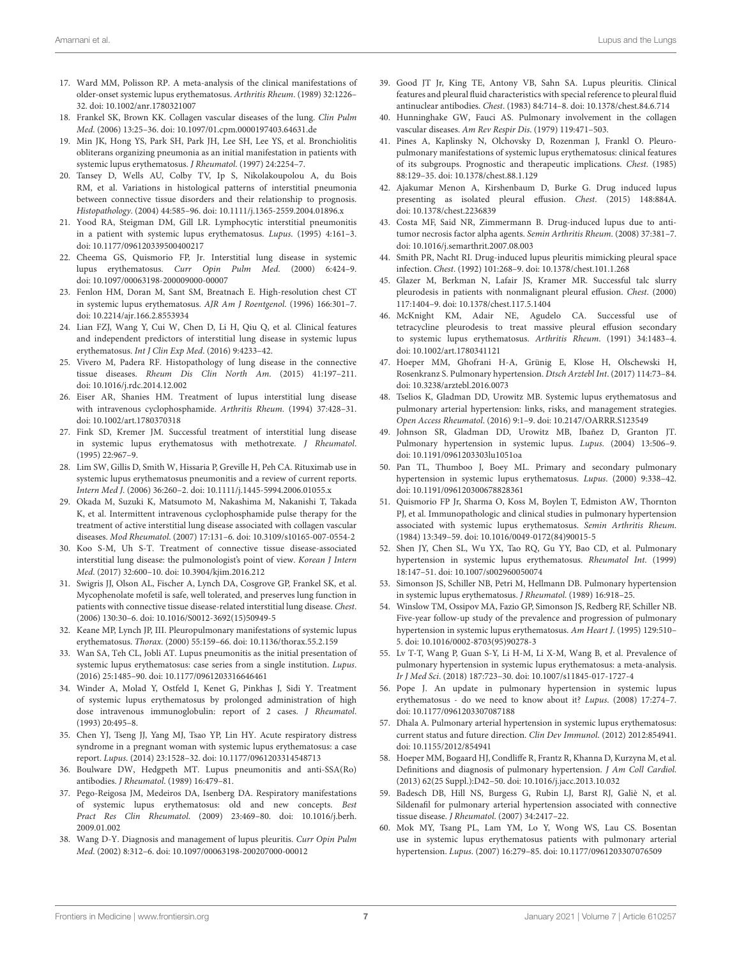- <span id="page-6-0"></span>17. Ward MM, Polisson RP. A meta-analysis of the clinical manifestations of older-onset systemic lupus erythematosus. Arthritis Rheum. (1989) 32:1226– 32. doi: [10.1002/anr.1780321007](https://doi.org/10.1002/anr.1780321007)
- <span id="page-6-1"></span>18. Frankel SK, Brown KK. Collagen vascular diseases of the lung. Clin Pulm Med. (2006) 13:25–36. doi: [10.1097/01.cpm.0000197403.64631.de](https://doi.org/10.1097/01.cpm.0000197403.64631.de)
- <span id="page-6-3"></span>19. Min JK, Hong YS, Park SH, Park JH, Lee SH, Lee YS, et al. Bronchiolitis obliterans organizing pneumonia as an initial manifestation in patients with systemic lupus erythematosus. J Rheumatol. (1997) 24:2254–7.
- 20. Tansey D, Wells AU, Colby TV, Ip S, Nikolakoupolou A, du Bois RM, et al. Variations in histological patterns of interstitial pneumonia between connective tissue disorders and their relationship to prognosis. Histopathology. (2004) 44:585–96. doi: [10.1111/j.1365-2559.2004.01896.x](https://doi.org/10.1111/j.1365-2559.2004.01896.x)
- <span id="page-6-2"></span>21. Yood RA, Steigman DM, Gill LR. Lymphocytic interstitial pneumonitis in a patient with systemic lupus erythematosus. Lupus. (1995) 4:161–3. doi: [10.1177/096120339500400217](https://doi.org/10.1177/096120339500400217)
- <span id="page-6-4"></span>22. Cheema GS, Quismorio FP, Jr. Interstitial lung disease in systemic lupus erythematosus. Curr Opin Pulm Med. (2000) 6:424–9. doi: [10.1097/00063198-200009000-00007](https://doi.org/10.1097/00063198-200009000-00007)
- <span id="page-6-5"></span>23. Fenlon HM, Doran M, Sant SM, Breatnach E. High-resolution chest CT in systemic lupus erythematosus. AJR Am J Roentgenol. (1996) 166:301–7. doi: [10.2214/ajr.166.2.8553934](https://doi.org/10.2214/ajr.166.2.8553934)
- <span id="page-6-6"></span>24. Lian FZJ, Wang Y, Cui W, Chen D, Li H, Qiu Q, et al. Clinical features and independent predictors of interstitial lung disease in systemic lupus erythematosus. Int J Clin Exp Med. (2016) 9:4233–42.
- <span id="page-6-7"></span>25. Vivero M, Padera RF. Histopathology of lung disease in the connective tissue diseases. Rheum Dis Clin North Am. (2015) 41:197–211. doi: [10.1016/j.rdc.2014.12.002](https://doi.org/10.1016/j.rdc.2014.12.002)
- <span id="page-6-8"></span>26. Eiser AR, Shanies HM. Treatment of lupus interstitial lung disease with intravenous cyclophosphamide. Arthritis Rheum. (1994) 37:428–31. doi: [10.1002/art.1780370318](https://doi.org/10.1002/art.1780370318)
- <span id="page-6-9"></span>27. Fink SD, Kremer JM. Successful treatment of interstitial lung disease in systemic lupus erythematosus with methotrexate. J Rheumatol. (1995) 22:967–9.
- <span id="page-6-10"></span>28. Lim SW, Gillis D, Smith W, Hissaria P, Greville H, Peh CA. Rituximab use in systemic lupus erythematosus pneumonitis and a review of current reports. Intern Med J. (2006) 36:260–2. doi: [10.1111/j.1445-5994.2006.01055.x](https://doi.org/10.1111/j.1445-5994.2006.01055.x)
- <span id="page-6-11"></span>29. Okada M, Suzuki K, Matsumoto M, Nakashima M, Nakanishi T, Takada K, et al. Intermittent intravenous cyclophosphamide pulse therapy for the treatment of active interstitial lung disease associated with collagen vascular diseases. Mod Rheumatol. (2007) 17:131–6. doi: [10.3109/s10165-007-0554-2](https://doi.org/10.3109/s10165-007-0554-2)
- <span id="page-6-12"></span>30. Koo S-M, Uh S-T. Treatment of connective tissue disease-associated interstitial lung disease: the pulmonologist's point of view. Korean J Intern Med. (2017) 32:600–10. doi: [10.3904/kjim.2016.212](https://doi.org/10.3904/kjim.2016.212)
- <span id="page-6-13"></span>31. Swigris JJ, Olson AL, Fischer A, Lynch DA, Cosgrove GP, Frankel SK, et al. Mycophenolate mofetil is safe, well tolerated, and preserves lung function in patients with connective tissue disease-related interstitial lung disease. Chest. (2006) 130:30–6. doi: [10.1016/S0012-3692\(15\)50949-5](https://doi.org/10.1016/S0012-3692(15)50949-5)
- <span id="page-6-14"></span>32. Keane MP, Lynch JP, III. Pleuropulmonary manifestations of systemic lupus erythematosus. Thorax. (2000) 55:159–66. doi: [10.1136/thorax.55.2.159](https://doi.org/10.1136/thorax.55.2.159)
- <span id="page-6-15"></span>33. Wan SA, Teh CL, Jobli AT. Lupus pneumonitis as the initial presentation of systemic lupus erythematosus: case series from a single institution. Lupus. (2016) 25:1485–90. doi: [10.1177/0961203316646461](https://doi.org/10.1177/0961203316646461)
- <span id="page-6-16"></span>34. Winder A, Molad Y, Ostfeld I, Kenet G, Pinkhas J, Sidi Y. Treatment of systemic lupus erythematosus by prolonged administration of high dose intravenous immunoglobulin: report of 2 cases. J Rheumatol. (1993) 20:495–8.
- <span id="page-6-17"></span>35. Chen YJ, Tseng JJ, Yang MJ, Tsao YP, Lin HY. Acute respiratory distress syndrome in a pregnant woman with systemic lupus erythematosus: a case report. Lupus. (2014) 23:1528–32. doi: [10.1177/0961203314548713](https://doi.org/10.1177/0961203314548713)
- <span id="page-6-18"></span>36. Boulware DW, Hedgpeth MT. Lupus pneumonitis and anti-SSA(Ro) antibodies. J Rheumatol. (1989) 16:479–81.
- <span id="page-6-19"></span>37. Pego-Reigosa JM, Medeiros DA, Isenberg DA. Respiratory manifestations of systemic lupus erythematosus: old and new concepts. Best Pract Res Clin Rheumatol[. \(2009\) 23:469–80. doi: 10.1016/j.berh.](https://doi.org/10.1016/j.berh.2009.01.002) 2009.01.002
- <span id="page-6-20"></span>38. Wang D-Y. Diagnosis and management of lupus pleuritis. Curr Opin Pulm Med. (2002) 8:312–6. doi: [10.1097/00063198-200207000-00012](https://doi.org/10.1097/00063198-200207000-00012)
- <span id="page-6-37"></span><span id="page-6-21"></span>39. Good JT Jr, King TE, Antony VB, Sahn SA. Lupus pleuritis. Clinical features and pleural fluid characteristics with special reference to pleural fluid antinuclear antibodies. Chest. (1983) 84:714–8. doi: [10.1378/chest.84.6.714](https://doi.org/10.1378/chest.84.6.714)
- <span id="page-6-22"></span>40. Hunninghake GW, Fauci AS. Pulmonary involvement in the collagen vascular diseases. Am Rev Respir Dis. (1979) 119:471–503.
- <span id="page-6-23"></span>41. Pines A, Kaplinsky N, Olchovsky D, Rozenman J, Frankl O. Pleuropulmonary manifestations of systemic lupus erythematosus: clinical features of its subgroups. Prognostic and therapeutic implications. Chest. (1985) 88:129–35. doi: [10.1378/chest.88.1.129](https://doi.org/10.1378/chest.88.1.129)
- <span id="page-6-24"></span>42. Ajakumar Menon A, Kirshenbaum D, Burke G. Drug induced lupus presenting as isolated pleural effusion. Chest. (2015) 148:884A. doi: [10.1378/chest.2236839](https://doi.org/10.1378/chest.2236839)
- 43. Costa MF, Said NR, Zimmermann B. Drug-induced lupus due to antitumor necrosis factor alpha agents. Semin Arthritis Rheum. (2008) 37:381–7. doi: [10.1016/j.semarthrit.2007.08.003](https://doi.org/10.1016/j.semarthrit.2007.08.003)
- <span id="page-6-25"></span>44. Smith PR, Nacht RI. Drug-induced lupus pleuritis mimicking pleural space infection. Chest. (1992) 101:268–9. doi: [10.1378/chest.101.1.268](https://doi.org/10.1378/chest.101.1.268)
- <span id="page-6-26"></span>45. Glazer M, Berkman N, Lafair JS, Kramer MR. Successful talc slurry pleurodesis in patients with nonmalignant pleural effusion. Chest. (2000) 117:1404–9. doi: [10.1378/chest.117.5.1404](https://doi.org/10.1378/chest.117.5.1404)
- <span id="page-6-27"></span>46. McKnight KM, Adair NE, Agudelo CA. Successful use of tetracycline pleurodesis to treat massive pleural effusion secondary to systemic lupus erythematosus. Arthritis Rheum. (1991) 34:1483–4. doi: [10.1002/art.1780341121](https://doi.org/10.1002/art.1780341121)
- <span id="page-6-28"></span>47. Hoeper MM, Ghofrani H-A, Grünig E, Klose H, Olschewski H, Rosenkranz S. Pulmonary hypertension. Dtsch Arztebl Int. (2017) 114:73–84. doi: [10.3238/arztebl.2016.0073](https://doi.org/10.3238/arztebl.2016.0073)
- <span id="page-6-29"></span>48. Tselios K, Gladman DD, Urowitz MB. Systemic lupus erythematosus and pulmonary arterial hypertension: links, risks, and management strategies. Open Access Rheumatol. (2016) 9:1–9. doi: [10.2147/OARRR.S123549](https://doi.org/10.2147/OARRR.S123549)
- <span id="page-6-30"></span>49. Johnson SR, Gladman DD, Urowitz MB, Ibañez D, Granton JT. Pulmonary hypertension in systemic lupus. Lupus. (2004) 13:506–9. doi: [10.1191/0961203303lu1051oa](https://doi.org/10.1191/0961203303lu1051oa)
- 50. Pan TL, Thumboo J, Boey ML. Primary and secondary pulmonary hypertension in systemic lupus erythematosus. Lupus. (2000) 9:338–42. doi: [10.1191/096120300678828361](https://doi.org/10.1191/096120300678828361)
- 51. Quismorio FP Jr, Sharma O, Koss M, Boylen T, Edmiston AW, Thornton PJ, et al. Immunopathologic and clinical studies in pulmonary hypertension associated with systemic lupus erythematosus. Semin Arthritis Rheum. (1984) 13:349–59. doi: [10.1016/0049-0172\(84\)90015-5](https://doi.org/10.1016/0049-0172(84)90015-5)
- 52. Shen JY, Chen SL, Wu YX, Tao RQ, Gu YY, Bao CD, et al. Pulmonary hypertension in systemic lupus erythematosus. Rheumatol Int. (1999) 18:147–51. doi: [10.1007/s002960050074](https://doi.org/10.1007/s002960050074)
- 53. Simonson JS, Schiller NB, Petri M, Hellmann DB. Pulmonary hypertension in systemic lupus erythematosus. J Rheumatol. (1989) 16:918–25.
- <span id="page-6-31"></span>54. Winslow TM, Ossipov MA, Fazio GP, Simonson JS, Redberg RF, Schiller NB. Five-year follow-up study of the prevalence and progression of pulmonary hypertension in systemic lupus erythematosus. Am Heart J. (1995) 129:510– 5. doi: [10.1016/0002-8703\(95\)90278-3](https://doi.org/10.1016/0002-8703(95)90278-3)
- <span id="page-6-32"></span>55. Lv T-T, Wang P, Guan S-Y, Li H-M, Li X-M, Wang B, et al. Prevalence of pulmonary hypertension in systemic lupus erythematosus: a meta-analysis. Ir J Med Sci. (2018) 187:723–30. doi: [10.1007/s11845-017-1727-4](https://doi.org/10.1007/s11845-017-1727-4)
- <span id="page-6-33"></span>56. Pope J. An update in pulmonary hypertension in systemic lupus erythematosus - do we need to know about it? Lupus. (2008) 17:274–7. doi: [10.1177/0961203307087188](https://doi.org/10.1177/0961203307087188)
- <span id="page-6-34"></span>57. Dhala A. Pulmonary arterial hypertension in systemic lupus erythematosus: current status and future direction. Clin Dev Immunol. (2012) 2012:854941. doi: [10.1155/2012/854941](https://doi.org/10.1155/2012/854941)
- <span id="page-6-35"></span>58. Hoeper MM, Bogaard HJ, Condliffe R, Frantz R, Khanna D, Kurzyna M, et al. Definitions and diagnosis of pulmonary hypertension. J Am Coll Cardiol. (2013) 62(25 Suppl.):D42–50. doi: [10.1016/j.jacc.2013.10.032](https://doi.org/10.1016/j.jacc.2013.10.032)
- <span id="page-6-36"></span>59. Badesch DB, Hill NS, Burgess G, Rubin LJ, Barst RJ, Galiè N, et al. Sildenafil for pulmonary arterial hypertension associated with connective tissue disease. J Rheumatol. (2007) 34:2417–22.
- 60. Mok MY, Tsang PL, Lam YM, Lo Y, Wong WS, Lau CS. Bosentan use in systemic lupus erythematosus patients with pulmonary arterial hypertension. Lupus. (2007) 16:279–85. doi: [10.1177/0961203307076509](https://doi.org/10.1177/0961203307076509)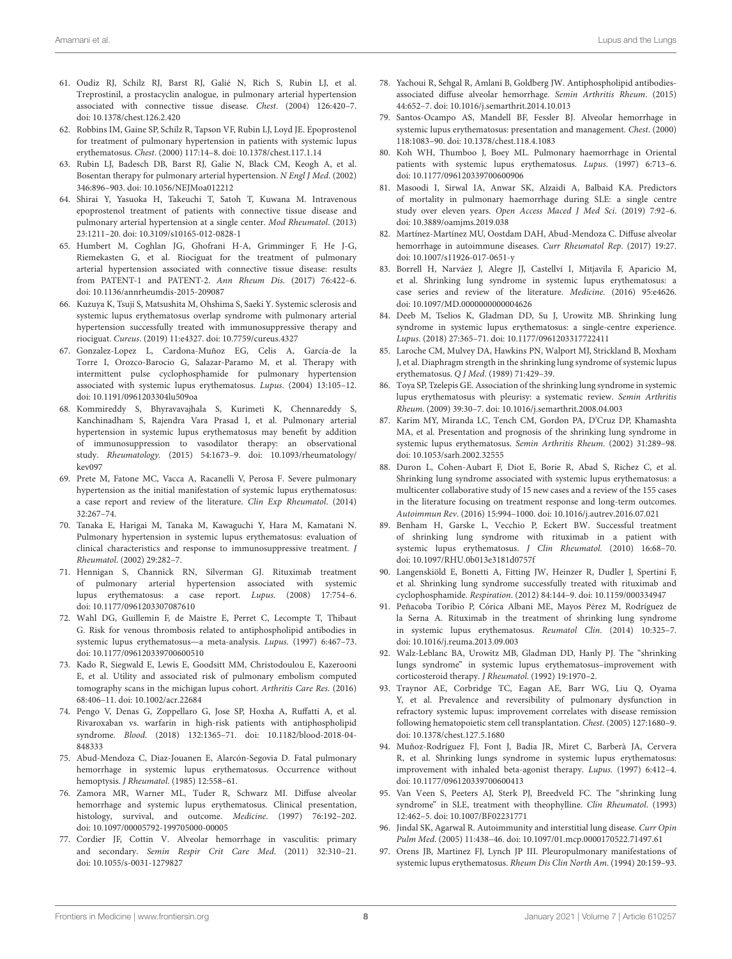- 61. Oudiz RJ, Schilz RJ, Barst RJ, Galié N, Rich S, Rubin LJ, et al. Treprostinil, a prostacyclin analogue, in pulmonary arterial hypertension associated with connective tissue disease. Chest. (2004) 126:420–7. doi: [10.1378/chest.126.2.420](https://doi.org/10.1378/chest.126.2.420)
- 62. Robbins IM, Gaine SP, Schilz R, Tapson VF, Rubin LJ, Loyd JE. Epoprostenol for treatment of pulmonary hypertension in patients with systemic lupus erythematosus. Chest. (2000) 117:14–8. doi: [10.1378/chest.117.1.14](https://doi.org/10.1378/chest.117.1.14)
- 63. Rubin LJ, Badesch DB, Barst RJ, Galie N, Black CM, Keogh A, et al. Bosentan therapy for pulmonary arterial hypertension. N Engl J Med. (2002) 346:896–903. doi: [10.1056/NEJMoa012212](https://doi.org/10.1056/NEJMoa012212)
- <span id="page-7-0"></span>64. Shirai Y, Yasuoka H, Takeuchi T, Satoh T, Kuwana M. Intravenous epoprostenol treatment of patients with connective tissue disease and pulmonary arterial hypertension at a single center. Mod Rheumatol. (2013) 23:1211–20. doi: [10.3109/s10165-012-0828-1](https://doi.org/10.3109/s10165-012-0828-1)
- <span id="page-7-1"></span>65. Humbert M, Coghlan JG, Ghofrani H-A, Grimminger F, He J-G, Riemekasten G, et al. Riociguat for the treatment of pulmonary arterial hypertension associated with connective tissue disease: results from PATENT-1 and PATENT-2. Ann Rheum Dis. (2017) 76:422–6. doi: [10.1136/annrheumdis-2015-209087](https://doi.org/10.1136/annrheumdis-2015-209087)
- <span id="page-7-2"></span>66. Kuzuya K, Tsuji S, Matsushita M, Ohshima S, Saeki Y. Systemic sclerosis and systemic lupus erythematosus overlap syndrome with pulmonary arterial hypertension successfully treated with immunosuppressive therapy and riociguat. Cureus. (2019) 11:e4327. doi: [10.7759/cureus.4327](https://doi.org/10.7759/cureus.4327)
- <span id="page-7-3"></span>67. Gonzalez-Lopez L, Cardona-Muñoz EG, Celis A, García-de la Torre I, Orozco-Barocio G, Salazar-Paramo M, et al. Therapy with intermittent pulse cyclophosphamide for pulmonary hypertension associated with systemic lupus erythematosus. Lupus. (2004) 13:105–12. doi: [10.1191/0961203304lu509oa](https://doi.org/10.1191/0961203304lu509oa)
- <span id="page-7-29"></span><span id="page-7-28"></span><span id="page-7-6"></span>68. Kommireddy S, Bhyravavajhala S, Kurimeti K, Chennareddy S, Kanchinadham S, Rajendra Vara Prasad I, et al. Pulmonary arterial hypertension in systemic lupus erythematosus may benefit by addition of immunosuppression to vasodilator therapy: an observational study. Rheumatology. [\(2015\) 54:1673–9. doi: 10.1093/rheumatology/](https://doi.org/10.1093/rheumatology/kev097) kev097
- 69. Prete M, Fatone MC, Vacca A, Racanelli V, Perosa F. Severe pulmonary hypertension as the initial manifestation of systemic lupus erythematosus: a case report and review of the literature. Clin Exp Rheumatol. (2014) 32:267–74.
- <span id="page-7-4"></span>70. Tanaka E, Harigai M, Tanaka M, Kawaguchi Y, Hara M, Kamatani N. Pulmonary hypertension in systemic lupus erythematosus: evaluation of clinical characteristics and response to immunosuppressive treatment. J Rheumatol. (2002) 29:282–7.
- <span id="page-7-5"></span>71. Hennigan S, Channick RN, Silverman GJ. Rituximab treatment of pulmonary arterial hypertension associated with systemic lupus erythematosus: a case report. Lupus. (2008) 17:754–6. doi: [10.1177/0961203307087610](https://doi.org/10.1177/0961203307087610)
- <span id="page-7-7"></span>72. Wahl DG, Guillemin F, de Maistre E, Perret C, Lecompte T, Thibaut G. Risk for venous thrombosis related to antiphospholipid antibodies in systemic lupus erythematosus—a meta-analysis. Lupus. (1997) 6:467–73. doi: [10.1177/096120339700600510](https://doi.org/10.1177/096120339700600510)
- <span id="page-7-8"></span>73. Kado R, Siegwald E, Lewis E, Goodsitt MM, Christodoulou E, Kazerooni E, et al. Utility and associated risk of pulmonary embolism computed tomography scans in the michigan lupus cohort. Arthritis Care Res. (2016) 68:406–11. doi: [10.1002/acr.22684](https://doi.org/10.1002/acr.22684)
- <span id="page-7-9"></span>74. Pengo V, Denas G, Zoppellaro G, Jose SP, Hoxha A, Ruffatti A, et al. Rivaroxaban vs. warfarin in high-risk patients with antiphospholipid syndrome. Blood[. \(2018\) 132:1365–71. doi: 10.1182/blood-2018-04-](https://doi.org/10.1182/blood-2018-04-848333) 848333
- <span id="page-7-10"></span>75. Abud-Mendoza C, Diaz-Jouanen E, Alarcón-Segovia D. Fatal pulmonary hemorrhage in systemic lupus erythematosus. Occurrence without hemoptysis. J Rheumatol. (1985) 12:558–61.
- <span id="page-7-11"></span>76. Zamora MR, Warner ML, Tuder R, Schwarz MI. Diffuse alveolar hemorrhage and systemic lupus erythematosus. Clinical presentation, histology, survival, and outcome. Medicine. (1997) 76:192–202. doi: [10.1097/00005792-199705000-00005](https://doi.org/10.1097/00005792-199705000-00005)
- <span id="page-7-12"></span>77. Cordier JF, Cottin V. Alveolar hemorrhage in vasculitis: primary and secondary. Semin Respir Crit Care Med. (2011) 32:310–21. doi: [10.1055/s-0031-1279827](https://doi.org/10.1055/s-0031-1279827)
- <span id="page-7-13"></span>78. Yachoui R, Sehgal R, Amlani B, Goldberg JW. Antiphospholipid antibodiesassociated diffuse alveolar hemorrhage. Semin Arthritis Rheum. (2015) 44:652–7. doi: [10.1016/j.semarthrit.2014.10.013](https://doi.org/10.1016/j.semarthrit.2014.10.013)
- <span id="page-7-14"></span>79. Santos-Ocampo AS, Mandell BF, Fessler BJ. Alveolar hemorrhage in systemic lupus erythematosus: presentation and management. Chest. (2000) 118:1083–90. doi: [10.1378/chest.118.4.1083](https://doi.org/10.1378/chest.118.4.1083)
- <span id="page-7-15"></span>80. Koh WH, Thumboo J, Boey ML. Pulmonary haemorrhage in Oriental patients with systemic lupus erythematosus. Lupus. (1997) 6:713–6. doi: [10.1177/096120339700600906](https://doi.org/10.1177/096120339700600906)
- <span id="page-7-16"></span>81. Masoodi I, Sirwal IA, Anwar SK, Alzaidi A, Balbaid KA. Predictors of mortality in pulmonary haemorrhage during SLE: a single centre study over eleven years. Open Access Maced J Med Sci. (2019) 7:92–6. doi: [10.3889/oamjms.2019.038](https://doi.org/10.3889/oamjms.2019.038)
- <span id="page-7-17"></span>82. Martínez-Martínez MU, Oostdam DAH, Abud-Mendoza C. Diffuse alveolar hemorrhage in autoimmune diseases. Curr Rheumatol Rep. (2017) 19:27. doi: [10.1007/s11926-017-0651-y](https://doi.org/10.1007/s11926-017-0651-y)
- <span id="page-7-18"></span>83. Borrell H, Narváez J, Alegre JJ, Castellví I, Mitjavila F, Aparicio M, et al. Shrinking lung syndrome in systemic lupus erythematosus: a case series and review of the literature. Medicine. (2016) 95:e4626. doi: [10.1097/MD.0000000000004626](https://doi.org/10.1097/MD.0000000000004626)
- <span id="page-7-19"></span>84. Deeb M, Tselios K, Gladman DD, Su J, Urowitz MB. Shrinking lung syndrome in systemic lupus erythematosus: a single-centre experience. Lupus. (2018) 27:365–71. doi: [10.1177/0961203317722411](https://doi.org/10.1177/0961203317722411)
- <span id="page-7-20"></span>85. Laroche CM, Mulvey DA, Hawkins PN, Walport MJ, Strickland B, Moxham J, et al. Diaphragm strength in the shrinking lung syndrome of systemic lupus erythematosus. Q J Med. (1989) 71:429–39.
- <span id="page-7-30"></span><span id="page-7-21"></span>86. Toya SP, Tzelepis GE. Association of the shrinking lung syndrome in systemic lupus erythematosus with pleurisy: a systematic review. Semin Arthritis Rheum. (2009) 39:30–7. doi: [10.1016/j.semarthrit.2008.04.003](https://doi.org/10.1016/j.semarthrit.2008.04.003)
- <span id="page-7-22"></span>87. Karim MY, Miranda LC, Tench CM, Gordon PA, D'Cruz DP, Khamashta MA, et al. Presentation and prognosis of the shrinking lung syndrome in systemic lupus erythematosus. Semin Arthritis Rheum. (2002) 31:289–98. doi: [10.1053/sarh.2002.32555](https://doi.org/10.1053/sarh.2002.32555)
- <span id="page-7-23"></span>88. Duron L, Cohen-Aubart F, Diot E, Borie R, Abad S, Richez C, et al. Shrinking lung syndrome associated with systemic lupus erythematosus: a multicenter collaborative study of 15 new cases and a review of the 155 cases in the literature focusing on treatment response and long-term outcomes. Autoimmun Rev. (2016) 15:994–1000. doi: [10.1016/j.autrev.2016.07.021](https://doi.org/10.1016/j.autrev.2016.07.021)
- <span id="page-7-24"></span>89. Benham H, Garske L, Vecchio P, Eckert BW. Successful treatment of shrinking lung syndrome with rituximab in a patient with systemic lupus erythematosus. J Clin Rheumatol. (2010) 16:68–70. doi: [10.1097/RHU.0b013e3181d0757f](https://doi.org/10.1097/RHU.0b013e3181d0757f)
- 90. Langenskiöld E, Bonetti A, Fitting JW, Heinzer R, Dudler J, Spertini F, et al. Shrinking lung syndrome successfully treated with rituximab and cyclophosphamide. Respiration. (2012) 84:144–9. doi: [10.1159/000334947](https://doi.org/10.1159/000334947)
- 91. Peñacoba Toribio P, Córica Albani ME, Mayos Pérez M, Rodríguez de la Serna A. Rituximab in the treatment of shrinking lung syndrome in systemic lupus erythematosus. Reumatol Clin. (2014) 10:325–7. doi: [10.1016/j.reuma.2013.09.003](https://doi.org/10.1016/j.reuma.2013.09.003)
- <span id="page-7-25"></span>92. Walz-Leblanc BA, Urowitz MB, Gladman DD, Hanly PJ. The "shrinking lungs syndrome" in systemic lupus erythematosus–improvement with corticosteroid therapy. J Rheumatol. (1992) 19:1970–2.
- <span id="page-7-26"></span>93. Traynor AE, Corbridge TC, Eagan AE, Barr WG, Liu Q, Oyama Y, et al. Prevalence and reversibility of pulmonary dysfunction in refractory systemic lupus: improvement correlates with disease remission following hematopoietic stem cell transplantation. Chest. (2005) 127:1680–9. doi: [10.1378/chest.127.5.1680](https://doi.org/10.1378/chest.127.5.1680)
- <span id="page-7-27"></span>94. Muñoz-Rodríguez FJ, Font J, Badia JR, Miret C, Barberà JA, Cervera R, et al. Shrinking lungs syndrome in systemic lupus erythematosus: improvement with inhaled beta-agonist therapy. Lupus. (1997) 6:412–4. doi: [10.1177/096120339700600413](https://doi.org/10.1177/096120339700600413)
- <span id="page-7-31"></span>95. Van Veen S, Peeters AJ, Sterk PJ, Breedveld FC. The "shrinking lung syndrome" in SLE, treatment with theophylline. Clin Rheumatol. (1993) 12:462–5. doi: [10.1007/BF02231771](https://doi.org/10.1007/BF02231771)
- 96. Jindal SK, Agarwal R. Autoimmunity and interstitial lung disease. Curr Opin Pulm Med. (2005) 11:438–46. doi: [10.1097/01.mcp.0000170522.71497.61](https://doi.org/10.1097/01.mcp.0000170522.71497.61)
- 97. Orens JB, Martinez FJ, Lynch JP III. Pleuropulmonary manifestations of systemic lupus erythematosus. Rheum Dis Clin North Am. (1994) 20:159–93.